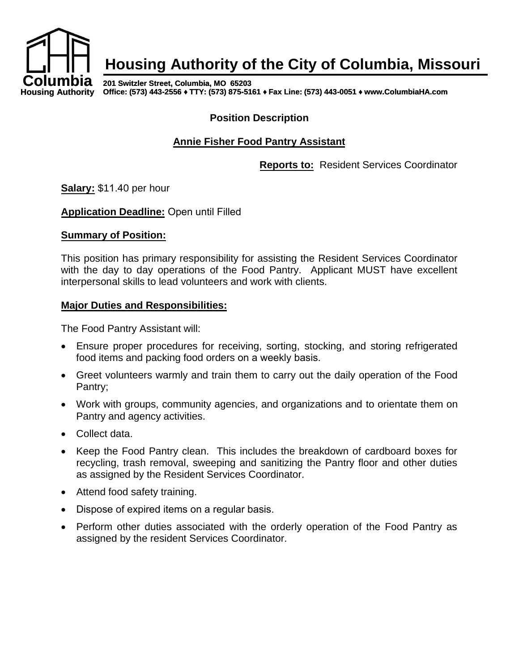

# **Housing Authority of the City of Columbia, Missouri**

**201 Switzler Street, Columbia, MO 65203 Office: (573) 443-2556 ♦ TTY: (573) 875-5161 ♦ Fax Line: (573) 443-0051 ♦ www.ColumbiaHA.com**

#### **Position Description**

## **Annie Fisher Food Pantry Assistant**

**Reports to:** Resident Services Coordinator

**Salary:** \$11.40 per hour

**Application Deadline:** Open until Filled

#### **Summary of Position:**

This position has primary responsibility for assisting the Resident Services Coordinator with the day to day operations of the Food Pantry. Applicant MUST have excellent interpersonal skills to lead volunteers and work with clients.

#### **Major Duties and Responsibilities:**

The Food Pantry Assistant will:

- Ensure proper procedures for receiving, sorting, stocking, and storing refrigerated food items and packing food orders on a weekly basis.
- Greet volunteers warmly and train them to carry out the daily operation of the Food Pantry;
- Work with groups, community agencies, and organizations and to orientate them on Pantry and agency activities.
- Collect data.
- Keep the Food Pantry clean. This includes the breakdown of cardboard boxes for recycling, trash removal, sweeping and sanitizing the Pantry floor and other duties as assigned by the Resident Services Coordinator.
- Attend food safety training.
- Dispose of expired items on a regular basis.
- Perform other duties associated with the orderly operation of the Food Pantry as assigned by the resident Services Coordinator.